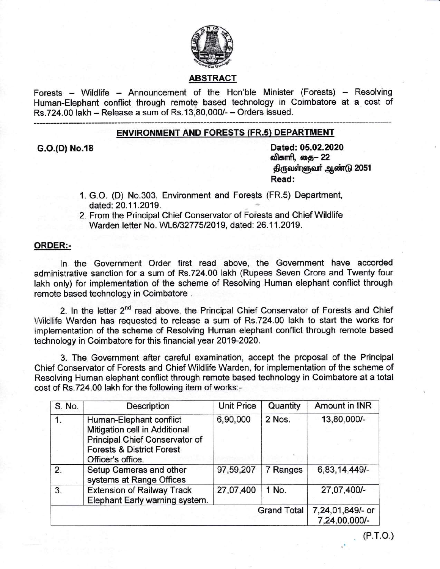

# ABSTRACT

Forests - Wildlife - Announcement of the Hon'ble Minister (Forests) - Resolving Human-Elephant conftict through remote based technology in Coimbatore at a cost of Rs.724.00 lakh - Release a sum of Rs.13,80,000/- - Orders issued.

#### ENVIRONMENT AND FORESTS (FR.s) DEPARTMENT

G.O.(D) No.18 Dated: 05.02.2020 விகாரி, தை— 22 திருவள்ளுவர் ஆண்டு 2051 Read:

- 1. G.O. (D) No.303, Environment and Forests (FR.5) Department, dated: 20.11.2019.
- 2. From the Principal Chief Conservator of Forests and Chief Wildlife Warden letter No. WL6/32775/2019, dated: 26.11.2019.

### ORDER:-

ln the Government Order first read above, the Government have accorded administrative sanction for a sum of Rs.724.00 lakh (Rupees Seven Crore and Twenty four lakh only) for implementation of the scheme of Resolving Human elephant conflict through remote based technology in Coimbatore .

2. In the letter 2<sup>nd</sup> read above, the Principal Chief Conservator of Forests and Chief Wildlife Warden has requested to release a sum of Rs.724.00 lakh to start the works for implementation of the scheme of Resolving Human elephant conflict through remote based technology in Coimbatore for this financial year 2019-2020.

3. The Government after careful examination, accept the proposal of the Principal Chief Conservator of Forests and Chief Wildlife Warden, for implementation of the scheme of Resolving Human elephant conflict through remote based technology in Coimbatore at a total cost of Rs.724.00 lakh for the following item of works:-

| S. No.             | <b>Description</b>                                                                                                                                      | <b>Unit Price</b> | Quantity | Amount in INR                     |
|--------------------|---------------------------------------------------------------------------------------------------------------------------------------------------------|-------------------|----------|-----------------------------------|
| 1.                 | Human-Elephant conflict<br>Mitigation cell in Additional<br>Principal Chief Conservator of<br><b>Forests &amp; District Forest</b><br>Officer's office. | 6,90,000          | 2 Nos.   | 13,80,000/-                       |
| 2.                 | Setup Cameras and other<br>systems at Range Offices                                                                                                     | 97,59,207         | 7 Ranges | 6,83,14,449/-                     |
| 3.                 | <b>Extension of Railway Track</b><br>Elephant Early warning system.                                                                                     | 27,07,400         | 1 No.    | 27,07,400/-                       |
| <b>Grand Total</b> |                                                                                                                                                         |                   |          | 7,24,01,849/- or<br>7,24,00,000/- |

(P.r.o.)